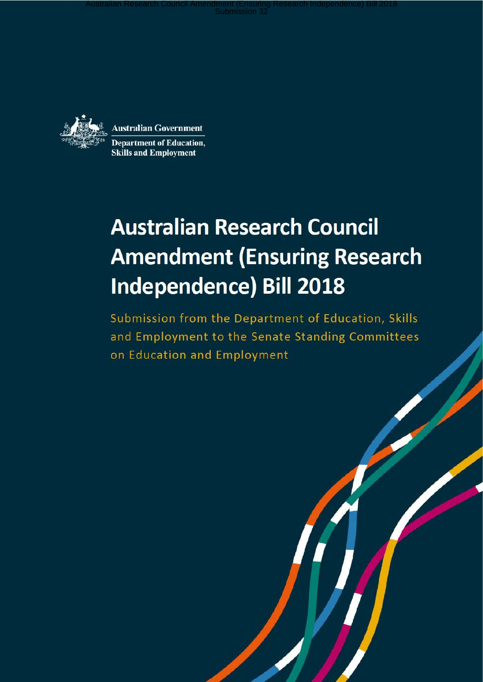Australian Research Council Amendment (Ensuring Research Independence) Bill 2018<br>Submission 32



**Australian Government Department of Education, Skills and Employment** 

# **Australian Research Council Amendment (Ensuring Research Independence) Bill 2018**

Submission from the Department of Education, Skills and Employment to the Senate Standing Committees on Education and Employment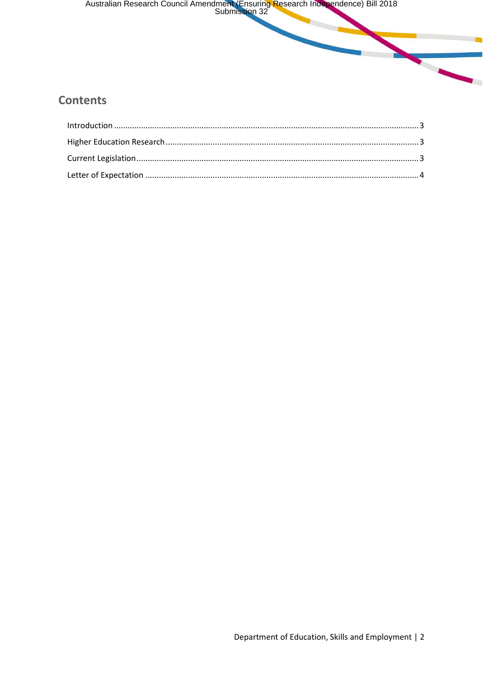Australian Research Council Amendment (Ensuring Research Independence) Bill 2018

### **Contents**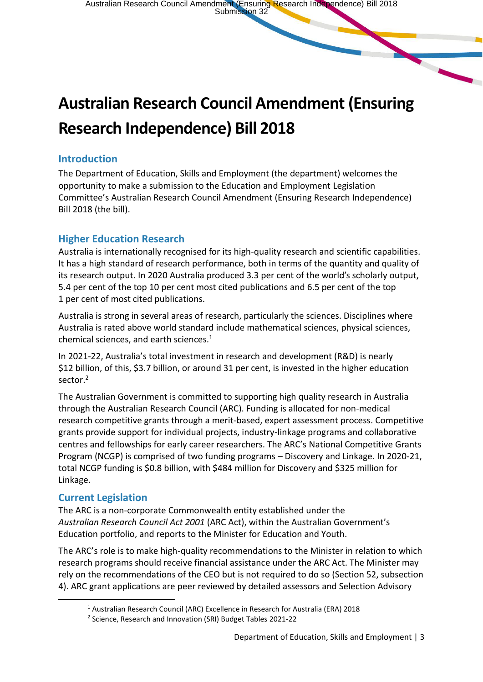## **Australian Research Council Amendment (Ensuring Research Independence) Bill 2018**

#### **Introduction**

The Department of Education, Skills and Employment (the department) welcomes the opportunity to make a submission to the Education and Employment Legislation Committee's Australian Research Council Amendment (Ensuring Research Independence) Bill 2018 (the bill).

#### **Higher Education Research**

Australia is internationally recognised for its high-quality research and scientific capabilities. It has a high standard of research performance, both in terms of the quantity and quality of its research output. In 2020 Australia produced 3.3 per cent of the world's scholarly output, 5.4 per cent of the top 10 per cent most cited publications and 6.5 per cent of the top 1 per cent of most cited publications.

Australia is strong in several areas of research, particularly the sciences. Disciplines where Australia is rated above world standard include mathematical sciences, physical sciences, chemical sciences, and earth sciences. $1$ 

In 2021-22, Australia's total investment in research and development (R&D) is nearly \$12 billion, of this, \$3.7 billion, or around 31 per cent, is invested in the higher education sector.<sup>2</sup>

The Australian Government is committed to supporting high quality research in Australia through the Australian Research Council (ARC). Funding is allocated for non-medical research competitive grants through a merit-based, expert assessment process. Competitive grants provide support for individual projects, industry-linkage programs and collaborative centres and fellowships for early career researchers. The ARC's National Competitive Grants Program (NCGP) is comprised of two funding programs – Discovery and Linkage. In 2020-21, total NCGP funding is \$0.8 billion, with \$484 million for Discovery and \$325 million for Linkage.

#### **Current Legislation**

The ARC is a non-corporate Commonwealth entity established under the *Australian Research Council Act 2001* (ARC Act), within the Australian Government's Education portfolio, and reports to the Minister for Education and Youth.

The ARC's role is to make high-quality recommendations to the Minister in relation to which research programs should receive financial assistance under the ARC Act. The Minister may rely on the recommendations of the CEO but is not required to do so (Section 52, subsection 4). ARC grant applications are peer reviewed by detailed assessors and Selection Advisory

<sup>1</sup> Australian Research Council (ARC) Excellence in Research for Australia (ERA) 2018

<sup>&</sup>lt;sup>2</sup> Science, Research and Innovation (SRI) Budget Tables 2021-22